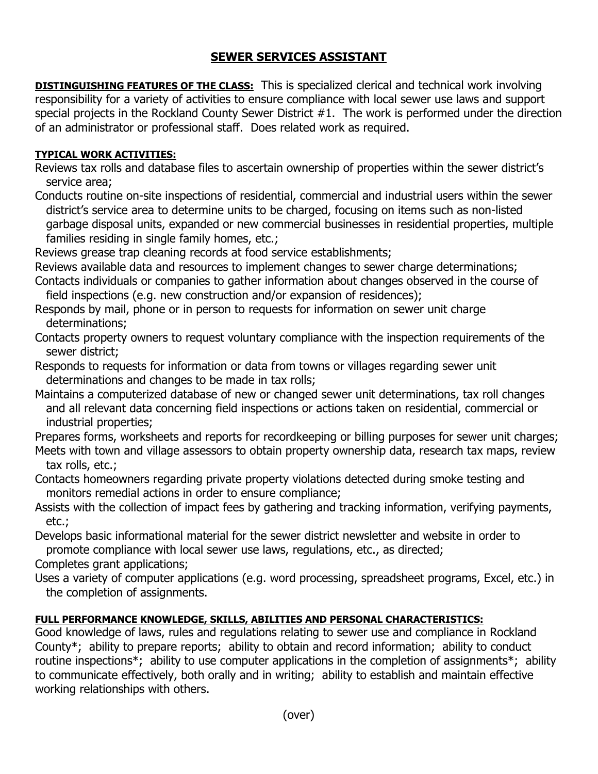## **SEWER SERVICES ASSISTANT**

**DISTINGUISHING FEATURES OF THE CLASS:** This is specialized clerical and technical work involving responsibility for a variety of activities to ensure compliance with local sewer use laws and support special projects in the Rockland County Sewer District #1. The work is performed under the direction of an administrator or professional staff. Does related work as required.

## **TYPICAL WORK ACTIVITIES:**

Reviews tax rolls and database files to ascertain ownership of properties within the sewer district's service area;

Conducts routine on-site inspections of residential, commercial and industrial users within the sewer district's service area to determine units to be charged, focusing on items such as non-listed garbage disposal units, expanded or new commercial businesses in residential properties, multiple families residing in single family homes, etc.;

Reviews grease trap cleaning records at food service establishments;

Reviews available data and resources to implement changes to sewer charge determinations;

Contacts individuals or companies to gather information about changes observed in the course of field inspections (e.g. new construction and/or expansion of residences);

Responds by mail, phone or in person to requests for information on sewer unit charge determinations;

Contacts property owners to request voluntary compliance with the inspection requirements of the sewer district;

Responds to requests for information or data from towns or villages regarding sewer unit determinations and changes to be made in tax rolls;

Maintains a computerized database of new or changed sewer unit determinations, tax roll changes and all relevant data concerning field inspections or actions taken on residential, commercial or industrial properties;

Prepares forms, worksheets and reports for recordkeeping or billing purposes for sewer unit charges; Meets with town and village assessors to obtain property ownership data, research tax maps, review tax rolls, etc.;

- Contacts homeowners regarding private property violations detected during smoke testing and monitors remedial actions in order to ensure compliance;
- Assists with the collection of impact fees by gathering and tracking information, verifying payments, etc.;

Develops basic informational material for the sewer district newsletter and website in order to promote compliance with local sewer use laws, regulations, etc., as directed;

Completes grant applications;

Uses a variety of computer applications (e.g. word processing, spreadsheet programs, Excel, etc.) in the completion of assignments.

## **FULL PERFORMANCE KNOWLEDGE, SKILLS, ABILITIES AND PERSONAL CHARACTERISTICS:**

Good knowledge of laws, rules and regulations relating to sewer use and compliance in Rockland County\*; ability to prepare reports; ability to obtain and record information; ability to conduct routine inspections<sup>\*</sup>; ability to use computer applications in the completion of assignments<sup>\*</sup>; ability to communicate effectively, both orally and in writing; ability to establish and maintain effective working relationships with others.